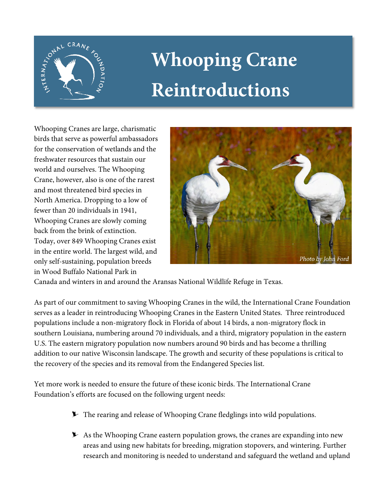

# **Whooping Crane Reintroductions**

Whooping Cranes are large, charismatic birds that serve as powerful ambassadors for the conservation of wetlands and the freshwater resources that sustain our world and ourselves. The Whooping Crane, however, also is one of the rarest and most threatened bird species in North America. Dropping to a low of fewer than 20 individuals in 1941, Whooping Cranes are slowly coming back from the brink of extinction. Today, over 849 Whooping Cranes exist in the entire world. The largest wild, and only self-sustaining, population breeds in Wood Buffalo National Park in



Canada and winters in and around the Aransas National Wildlife Refuge in Texas.

As part of our commitment to saving Whooping Cranes in the wild, the International Crane Foundation serves as a leader in reintroducing Whooping Cranes in the Eastern United States. Three reintroduced populations include a non-migratory flock in Florida of about 14 birds, a non-migratory flock in southern Louisiana, numbering around 70 individuals, and a third, migratory population in the eastern U.S. The eastern migratory population now numbers around 90 birds and has become a thrilling addition to our native Wisconsin landscape. The growth and security of these populations is critical to the recovery of the species and its removal from the Endangered Species list.

Yet more work is needed to ensure the future of these iconic birds. The International Crane Foundation's efforts are focused on the following urgent needs:

- **The rearing and release of Whooping Crane fledglings into wild populations.**
- $\blacktriangleright$  As the Whooping Crane eastern population grows, the cranes are expanding into new areas and using new habitats for breeding, migration stopovers, and wintering. Further research and monitoring is needed to understand and safeguard the wetland and upland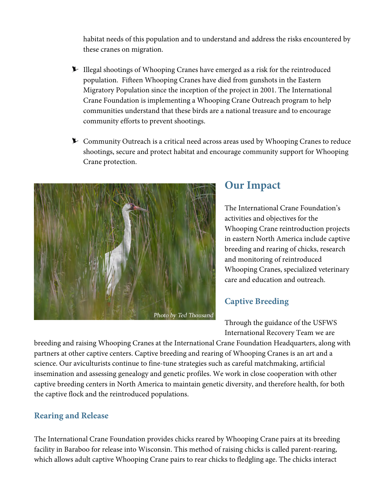habitat needs of this population and to understand and address the risks encountered by these cranes on migration.

- Illegal shootings of Whooping Cranes have emerged as a risk for the reintroduced population. Fifteen Whooping Cranes have died from gunshots in the Eastern Migratory Population since the inception of the project in 2001. The International Crane Foundation is implementing a Whooping Crane Outreach program to help communities understand that these birds are a national treasure and to encourage community efforts to prevent shootings.
- **EXECOMMUNITY Purface Linear Strategier 2** Community Outreach is a critical need across areas used by Whooping Cranes to reduce shootings, secure and protect habitat and encourage community support for Whooping Crane protection.



### **Our Impact**

The International Crane Foundation's activities and objectives for the Whooping Crane reintroduction projects in eastern North America include captive breeding and rearing of chicks, research and monitoring of reintroduced Whooping Cranes, specialized veterinary care and education and outreach.

#### **Captive Breeding**

Through the guidance of the USFWS International Recovery Team we are

breeding and raising Whooping Cranes at the International Crane Foundation Headquarters, along with partners at other captive centers. Captive breeding and rearing of Whooping Cranes is an art and a science. Our aviculturists continue to fine-tune strategies such as careful matchmaking, artificial insemination and assessing genealogy and genetic profiles. We work in close cooperation with other captive breeding centers in North America to maintain genetic diversity, and therefore health, for both the captive flock and the reintroduced populations.

#### **Rearing and Release**

The International Crane Foundation provides chicks reared by Whooping Crane pairs at its breeding facility in Baraboo for release into Wisconsin. This method of raising chicks is called parent-rearing, which allows adult captive Whooping Crane pairs to rear chicks to fledgling age. The chicks interact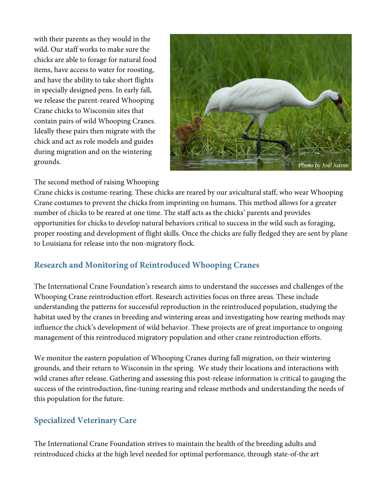with their parents as they would in the wild. Our staff works to make sure the chicks are able to forage for natural food items, have access to water for roosting, and have the ability to take short flights in specially designed pens. In early fall, we release the parent-reared Whooping Crane chicks to Wisconsin sites that contain pairs of wild Whooping Cranes. Ideally these pairs then migrate with the chick and act as role models and guides during migration and on the wintering grounds.



#### The second method of raising Whooping

Crane chicks is costume-rearing. These chicks are reared by our avicultural staff, who wear Whooping Crane costumes to prevent the chicks from imprinting on humans. This method allows for a greater number of chicks to be reared at one time. The staff acts as the chicks' parents and provides opportunities for chicks to develop natural behaviors critical to success in the wild such as foraging, proper roosting and development of flight skills. Once the chicks are fully fledged they are sent by plane to Louisiana for release into the non-migratory flock.

#### **Research and Monitoring of Reintroduced Whooping Cranes**

The International Crane Foundation's research aims to understand the successes and challenges of the Whooping Crane reintroduction effort. Research activities focus on three areas. These include understanding the patterns for successful reproduction in the reintroduced population, studying the habitat used by the cranes in breeding and wintering areas and investigating how rearing methods may influence the chick's development of wild behavior. These projects are of great importance to ongoing management of this reintroduced migratory population and other crane reintroduction efforts.

We monitor the eastern population of Whooping Cranes during fall migration, on their wintering grounds, and their return to Wisconsin in the spring. We study their locations and interactions with wild cranes after release. Gathering and assessing this post-release information is critical to gauging the success of the reintroduction, fine-tuning rearing and release methods and understanding the needs of this population for the future.

#### **Specialized Veterinary Care**

The International Crane Foundation strives to maintain the health of the breeding adults and reintroduced chicks at the high level needed for optimal performance, through state-of-the art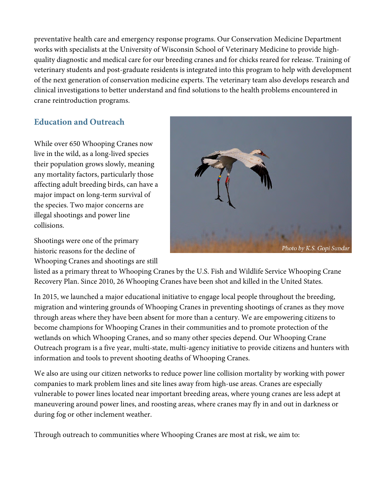preventative health care and emergency response programs. Our Conservation Medicine Department works with specialists at the University of Wisconsin School of Veterinary Medicine to provide highquality diagnostic and medical care for our breeding cranes and for chicks reared for release. Training of veterinary students and post-graduate residents is integrated into this program to help with development of the next generation of conservation medicine experts. The veterinary team also develops research and clinical investigations to better understand and find solutions to the health problems encountered in crane reintroduction programs.

#### **Education and Outreach**

While over 650 Whooping Cranes now live in the wild, as a long-lived species their population grows slowly, meaning any mortality factors, particularly those affecting adult breeding birds, can have a major impact on long-term survival of the species. Two major concerns are illegal shootings and power line collisions.

Shootings were one of the primary historic reasons for the decline of Whooping Cranes and shootings are still



listed as a primary threat to Whooping Cranes by the U.S. Fish and Wildlife Service Whooping Crane Recovery Plan. Since 2010, 26 Whooping Cranes have been shot and killed in the United States.

In 2015, we launched a major educational initiative to engage local people throughout the breeding, migration and wintering grounds of Whooping Cranes in preventing shootings of cranes as they move through areas where they have been absent for more than a century. We are empowering citizens to become champions for Whooping Cranes in their communities and to promote protection of the wetlands on which Whooping Cranes, and so many other species depend. Our Whooping Crane Outreach program is a five year, multi-state, multi-agency initiative to provide citizens and hunters with information and tools to prevent shooting deaths of Whooping Cranes.

We also are using our citizen networks to reduce power line collision mortality by working with power companies to mark problem lines and site lines away from high-use areas. Cranes are especially vulnerable to power lines located near important breeding areas, where young cranes are less adept at maneuvering around power lines, and roosting areas, where cranes may fly in and out in darkness or during fog or other inclement weather.

Through outreach to communities where Whooping Cranes are most at risk, we aim to: